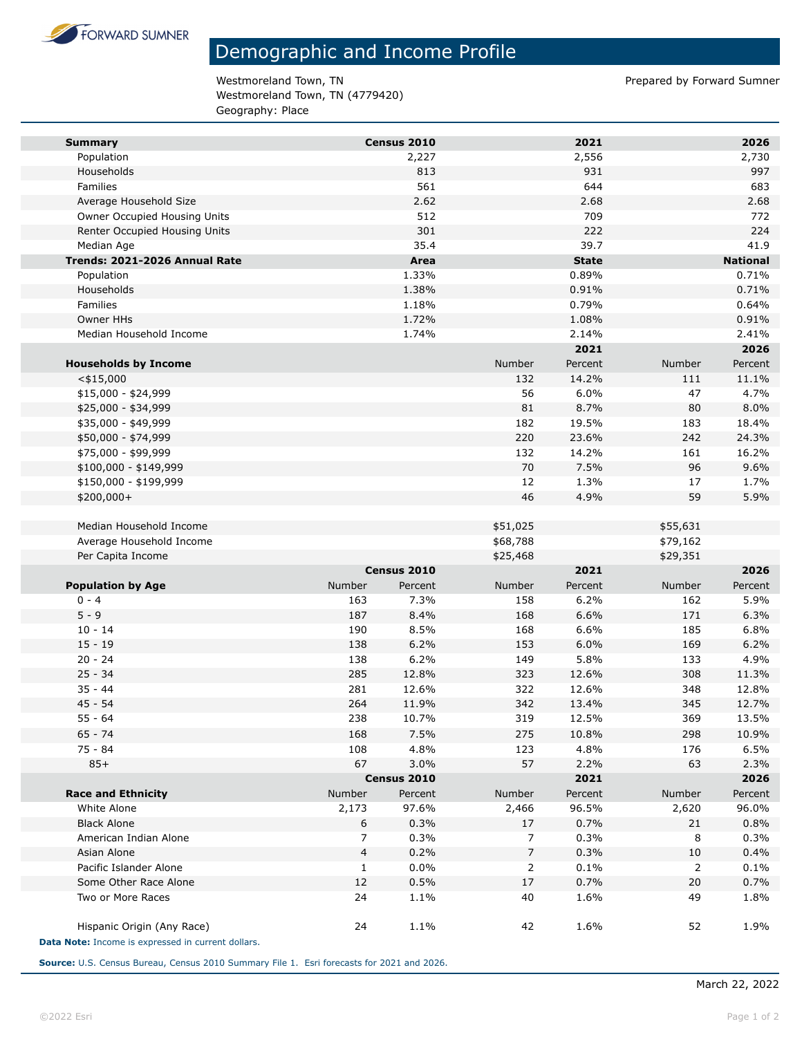

## Demographic and Income Profile

Westmoreland Town, TN external of the Material Summer of Prepared by Forward Sumner Westmoreland Town, TN (4779420) Geography: Place

| <b>Summary</b>                                     |                | Census 2010 |                | 2021         |          | 2026            |
|----------------------------------------------------|----------------|-------------|----------------|--------------|----------|-----------------|
| Population                                         |                | 2,227       |                | 2,556        |          | 2,730           |
| Households                                         |                | 813         |                | 931          |          | 997             |
| Families                                           |                | 561         |                | 644          |          | 683             |
| Average Household Size                             |                | 2.62        |                | 2.68         |          | 2.68            |
| Owner Occupied Housing Units                       |                | 512         |                | 709          |          | 772             |
| Renter Occupied Housing Units                      |                | 301         |                | 222          |          | 224             |
| Median Age                                         |                | 35.4        |                | 39.7         |          | 41.9            |
| Trends: 2021-2026 Annual Rate                      |                | Area        |                | <b>State</b> |          | <b>National</b> |
| Population                                         |                | 1.33%       |                | 0.89%        |          | 0.71%           |
| Households                                         |                | 1.38%       |                | 0.91%        |          | 0.71%           |
| Families                                           |                | 1.18%       |                | 0.79%        |          | 0.64%           |
| Owner HHs                                          |                | 1.72%       |                | 1.08%        |          | 0.91%           |
| Median Household Income                            |                | 1.74%       |                | 2.14%        |          | 2.41%           |
|                                                    |                |             |                | 2021         |          | 2026            |
| <b>Households by Income</b>                        |                |             | Number         | Percent      | Number   | Percent         |
| $<$ \$15,000                                       |                |             | 132            | 14.2%        | 111      | 11.1%           |
| $$15,000 - $24,999$                                |                |             | 56             | 6.0%         | 47       | 4.7%            |
| \$25,000 - \$34,999                                |                |             | 81             | 8.7%         | 80       | 8.0%            |
| \$35,000 - \$49,999                                |                |             | 182            | 19.5%        | 183      | 18.4%           |
| \$50,000 - \$74,999                                |                |             | 220            | 23.6%        | 242      | 24.3%           |
| \$75,000 - \$99,999                                |                |             | 132            | 14.2%        | 161      | 16.2%           |
| \$100,000 - \$149,999                              |                |             | 70             | 7.5%         | 96       | 9.6%            |
| \$150,000 - \$199,999                              |                |             | 12             | 1.3%         | 17       | 1.7%            |
| \$200,000+                                         |                |             | 46             | 4.9%         | 59       | 5.9%            |
| Median Household Income                            |                |             | \$51,025       |              | \$55,631 |                 |
| Average Household Income                           |                |             | \$68,788       |              | \$79,162 |                 |
| Per Capita Income                                  |                |             | \$25,468       |              | \$29,351 |                 |
|                                                    |                | Census 2010 |                | 2021         |          | 2026            |
| <b>Population by Age</b>                           | Number         | Percent     | Number         | Percent      | Number   | Percent         |
| $0 - 4$                                            | 163            | 7.3%        | 158            | 6.2%         | 162      | 5.9%            |
| $5 - 9$                                            | 187            | 8.4%        | 168            | 6.6%         | 171      | 6.3%            |
| $10 - 14$                                          | 190            | 8.5%        | 168            | 6.6%         | 185      | 6.8%            |
| $15 - 19$                                          | 138            | 6.2%        | 153            | 6.0%         | 169      | 6.2%            |
| $20 - 24$                                          | 138            | 6.2%        | 149            | 5.8%         | 133      | 4.9%            |
| $25 - 34$                                          | 285            | 12.8%       | 323            | 12.6%        | 308      | 11.3%           |
| $35 - 44$                                          | 281            | 12.6%       | 322            | 12.6%        | 348      | 12.8%           |
| $45 - 54$                                          | 264            | 11.9%       | 342            | 13.4%        | 345      | 12.7%           |
| 55 - 64                                            | 238            | 10.7%       | 319            | 12.5%        | 369      | 13.5%           |
| $65 - 74$                                          | 168            | 7.5%        | 275            | 10.8%        | 298      | 10.9%           |
| $75 - 84$                                          | 108            | 4.8%        | 123            | 4.8%         | 176      | 6.5%            |
| $85+$                                              | 67             | 3.0%        | 57             | 2.2%         | 63       | 2.3%            |
|                                                    |                | Census 2010 |                | 2021         |          | 2026            |
| <b>Race and Ethnicity</b>                          | Number         | Percent     | Number         | Percent      | Number   | Percent         |
| White Alone                                        | 2,173          | 97.6%       | 2,466          | 96.5%        | 2,620    | 96.0%           |
| <b>Black Alone</b>                                 | 6              | 0.3%        | 17             | 0.7%         | 21       | 0.8%            |
| American Indian Alone                              | 7              | 0.3%        | 7              | 0.3%         | 8        | 0.3%            |
| Asian Alone                                        | $\overline{4}$ | 0.2%        | $\overline{7}$ | 0.3%         | 10       | 0.4%            |
| Pacific Islander Alone                             | $\mathbf{1}$   | 0.0%        | 2              | 0.1%         | 2        | 0.1%            |
| Some Other Race Alone                              | 12             | 0.5%        | 17             | 0.7%         | 20       | 0.7%            |
| Two or More Races                                  | 24             | 1.1%        | 40             | 1.6%         | 49       | 1.8%            |
| Hispanic Origin (Any Race)                         | 24             | 1.1%        | 42             | 1.6%         | 52       | 1.9%            |
| Data Note: Income is expressed in current dollars. |                |             |                |              |          |                 |

**Source:** U.S. Census Bureau, Census 2010 Summary File 1. Esri forecasts for 2021 and 2026.